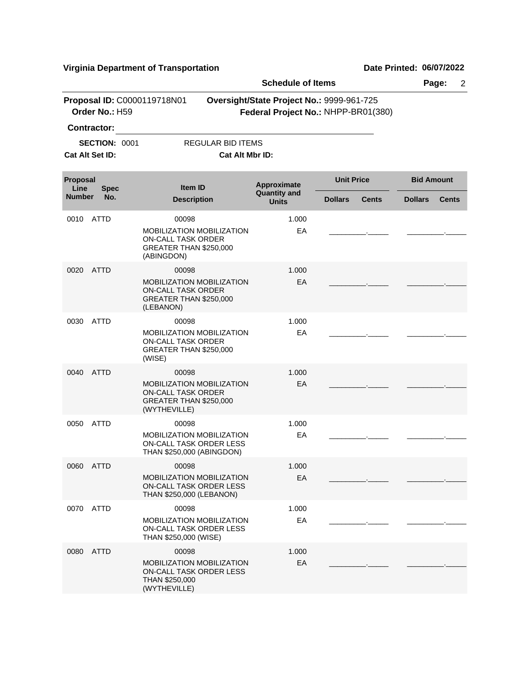|                  |                      |                                           |                                                                                          | <b>Schedule of Items</b>                                                         |                   |              |                   | Page:<br>$\overline{2}$ |
|------------------|----------------------|-------------------------------------------|------------------------------------------------------------------------------------------|----------------------------------------------------------------------------------|-------------------|--------------|-------------------|-------------------------|
|                  | Order No.: H59       | Proposal ID: C0000119718N01               |                                                                                          | Oversight/State Project No.: 9999-961-725<br>Federal Project No.: NHPP-BR01(380) |                   |              |                   |                         |
|                  | Contractor:          |                                           |                                                                                          |                                                                                  |                   |              |                   |                         |
|                  | <b>SECTION: 0001</b> |                                           | <b>REGULAR BID ITEMS</b>                                                                 |                                                                                  |                   |              |                   |                         |
|                  | Cat Alt Set ID:      |                                           | Cat Alt Mbr ID:                                                                          |                                                                                  |                   |              |                   |                         |
| Proposal<br>Line | <b>Spec</b>          |                                           | <b>Item ID</b>                                                                           | Approximate<br><b>Quantity and</b>                                               | <b>Unit Price</b> |              | <b>Bid Amount</b> |                         |
| <b>Number</b>    | No.                  |                                           | <b>Description</b>                                                                       | <b>Units</b>                                                                     | <b>Dollars</b>    | <b>Cents</b> | <b>Dollars</b>    | <b>Cents</b>            |
| 0010             | <b>ATTD</b>          | 00098                                     |                                                                                          | 1.000                                                                            |                   |              |                   |                         |
|                  |                      | <b>ON-CALL TASK ORDER</b><br>(ABINGDON)   | <b>MOBILIZATION MOBILIZATION</b><br>GREATER THAN \$250,000                               | EA                                                                               |                   |              |                   |                         |
| 0020             | <b>ATTD</b>          | 00098                                     |                                                                                          | 1.000                                                                            |                   |              |                   |                         |
|                  |                      | <b>ON-CALL TASK ORDER</b><br>(LEBANON)    | MOBILIZATION MOBILIZATION<br>GREATER THAN \$250,000                                      | EA                                                                               |                   |              |                   |                         |
| 0030             | <b>ATTD</b>          | 00098                                     |                                                                                          | 1.000                                                                            |                   |              |                   |                         |
|                  |                      | <b>ON-CALL TASK ORDER</b><br>(WISE)       | MOBILIZATION MOBILIZATION<br>GREATER THAN \$250,000                                      | EA                                                                               |                   |              |                   |                         |
| 0040             | <b>ATTD</b>          | 00098                                     |                                                                                          | 1.000                                                                            |                   |              |                   |                         |
|                  |                      | <b>ON-CALL TASK ORDER</b><br>(WYTHEVILLE) | <b>MOBILIZATION MOBILIZATION</b><br>GREATER THAN \$250,000                               | EA                                                                               |                   |              |                   |                         |
| 0050             | <b>ATTD</b>          | 00098                                     |                                                                                          | 1.000                                                                            |                   |              |                   |                         |
|                  |                      |                                           | <b>MOBILIZATION MOBILIZATION</b><br>ON-CALL TASK ORDER LESS<br>THAN \$250,000 (ABINGDON) | EA                                                                               |                   |              |                   |                         |
|                  | 0060 ATTD            | 00098                                     |                                                                                          | 1.000                                                                            |                   |              |                   |                         |
|                  |                      |                                           | MOBILIZATION MOBILIZATION<br><b>ON-CALL TASK ORDER LESS</b><br>THAN \$250,000 (LEBANON)  | EA                                                                               |                   |              |                   |                         |
| 0070             | ATTD                 | 00098                                     |                                                                                          | 1.000                                                                            |                   |              |                   |                         |
|                  |                      | THAN \$250,000 (WISE)                     | MOBILIZATION MOBILIZATION<br><b>ON-CALL TASK ORDER LESS</b>                              | EA                                                                               |                   |              |                   |                         |
| 0080             | <b>ATTD</b>          | 00098                                     |                                                                                          | 1.000                                                                            |                   |              |                   |                         |
|                  |                      | THAN \$250,000<br>(WYTHEVILLE)            | MOBILIZATION MOBILIZATION<br>ON-CALL TASK ORDER LESS                                     | EA                                                                               |                   |              |                   |                         |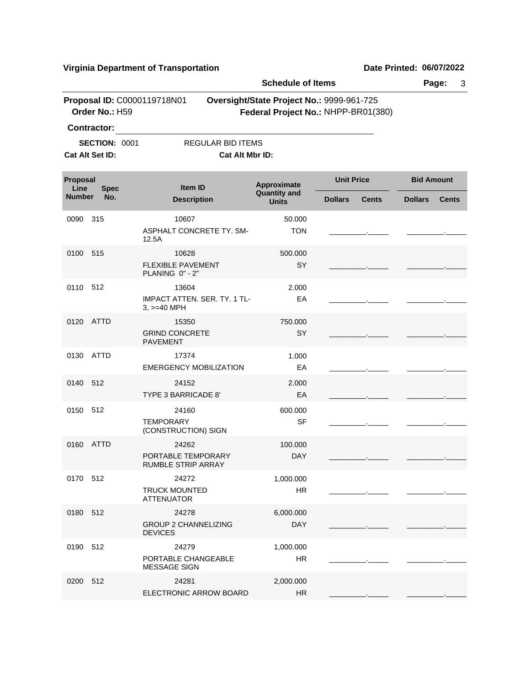|                  | <b>Virginia Department of Transportation</b>                                           |                                                               |                                                                                  |                                     |                   |              | Date Printed: 06/07/2022 |                   |              |
|------------------|----------------------------------------------------------------------------------------|---------------------------------------------------------------|----------------------------------------------------------------------------------|-------------------------------------|-------------------|--------------|--------------------------|-------------------|--------------|
|                  |                                                                                        |                                                               |                                                                                  | <b>Schedule of Items</b>            |                   |              |                          | Page:             | 3            |
|                  | Order No.: H59                                                                         | Proposal ID: C0000119718N01                                   | Oversight/State Project No.: 9999-961-725<br>Federal Project No.: NHPP-BR01(380) |                                     |                   |              |                          |                   |              |
|                  | <b>Contractor:</b>                                                                     |                                                               |                                                                                  |                                     |                   |              |                          |                   |              |
|                  | <b>SECTION: 0001</b><br><b>REGULAR BID ITEMS</b><br>Cat Alt Set ID:<br>Cat Alt Mbr ID: |                                                               |                                                                                  |                                     |                   |              |                          |                   |              |
| Proposal<br>Line | <b>Spec</b>                                                                            | Item ID                                                       | Approximate                                                                      |                                     | <b>Unit Price</b> |              |                          | <b>Bid Amount</b> |              |
| <b>Number</b>    | No.                                                                                    | <b>Description</b>                                            |                                                                                  | <b>Quantity and</b><br><b>Units</b> |                   | <b>Cents</b> | <b>Dollars</b>           |                   | <b>Cents</b> |
| 0090             | 315                                                                                    | 10607<br>ASPHALT CONCRETE TY, SM-<br>12.5A                    |                                                                                  | 50.000<br><b>TON</b>                |                   |              |                          |                   |              |
| 0100             | 515                                                                                    | 10628<br><b>FLEXIBLE PAVEMENT</b><br>PLANING 0" - 2"          |                                                                                  | 500.000<br><b>SY</b>                |                   |              |                          |                   |              |
| 0110             | 512                                                                                    | 13604<br><b>IMPACT ATTEN, SER, TY, 1 TL-</b><br>$3, >=40$ MPH |                                                                                  | 2.000<br>EA                         |                   |              |                          |                   |              |
| 0120             | ATTD                                                                                   | 15350<br><b>GRIND CONCRETE</b><br><b>PAVEMENT</b>             |                                                                                  | 750.000<br><b>SY</b>                |                   |              |                          |                   |              |
| 0130             | <b>ATTD</b>                                                                            | 17374<br><b>EMERGENCY MOBILIZATION</b>                        |                                                                                  | 1.000<br>EA                         |                   |              |                          |                   |              |
| 0140             | 512                                                                                    | 24152<br>TYPE 3 BARRICADE 8'                                  |                                                                                  | 2.000<br>EA                         |                   |              |                          |                   |              |
| 0150             | 512                                                                                    | 24160<br><b>TEMPORARY</b><br>(CONSTRUCTION) SIGN              |                                                                                  | 600.000<br><b>SF</b>                |                   |              |                          |                   |              |
| 0160             | <b>ATTD</b>                                                                            | 24262<br>PORTABLE TEMPORARY<br><b>RUMBLE STRIP ARRAY</b>      |                                                                                  | 100.000<br><b>DAY</b>               |                   |              |                          |                   |              |
| 0170             | 512                                                                                    | 24272                                                         |                                                                                  | 1,000.000                           |                   |              |                          |                   |              |

HR

DAY 6,000.000

HR 1,000.000

2,000.000

\_\_\_\_\_\_\_\_\_.\_\_\_\_\_ \_\_\_\_\_\_\_\_\_.\_\_\_\_\_

\_\_\_\_\_\_\_\_\_.\_\_\_\_\_ \_\_\_\_\_\_\_\_\_.\_\_\_\_\_

\_\_\_\_\_\_\_\_\_.\_\_\_\_\_ \_\_\_\_\_\_\_\_\_.\_\_\_\_\_

\_\_\_\_\_\_\_\_\_.\_\_\_\_\_ \_\_\_\_\_\_\_\_\_.\_\_\_\_\_

TRUCK MOUNTED ATTENUATOR

DEVICES

MESSAGE SIGN

GROUP 2 CHANNELIZING

PORTABLE CHANGEABLE

ELECTRONIC ARROW BOARD HR

0180 24278 512

0190 24279 512

0200 24281 512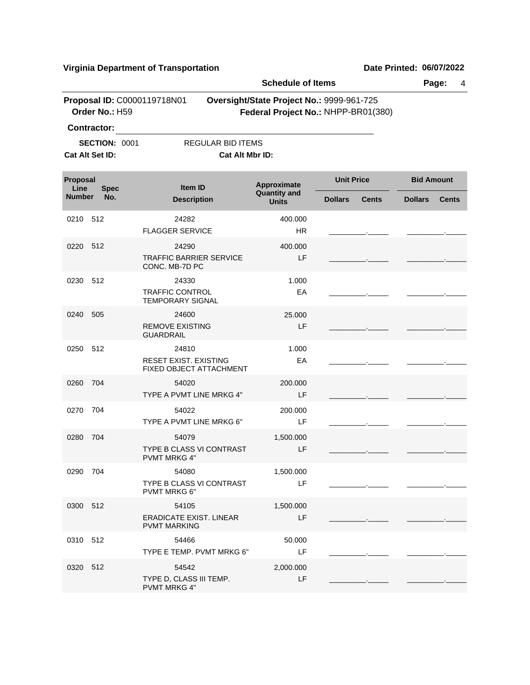|                  |                                               |                                                            | <b>Schedule of Items</b>                  |                                     |                   |              |
|------------------|-----------------------------------------------|------------------------------------------------------------|-------------------------------------------|-------------------------------------|-------------------|--------------|
|                  | Proposal ID: C0000119718N01<br>Order No.: H59 |                                                            | Oversight/State Project No.: 9999-961-725 | Federal Project No.: NHPP-BR01(380) |                   |              |
|                  | <b>Contractor:</b>                            |                                                            |                                           |                                     |                   |              |
|                  | <b>SECTION: 0001</b>                          | <b>REGULAR BID ITEMS</b>                                   |                                           |                                     |                   |              |
|                  | Cat Alt Set ID:                               | Cat Alt Mbr ID:                                            |                                           |                                     |                   |              |
| Proposal<br>Line | <b>Spec</b>                                   | Item ID                                                    | Approximate<br><b>Quantity and</b>        | <b>Unit Price</b>                   | <b>Bid Amount</b> |              |
| Number           | No.                                           | <b>Description</b>                                         | <b>Units</b>                              | <b>Dollars</b><br><b>Cents</b>      | <b>Dollars</b>    | <b>Cents</b> |
| 0210             | 512                                           | 24282<br><b>FLAGGER SERVICE</b>                            | 400.000<br><b>HR</b>                      |                                     |                   |              |
| 0220             | 512                                           | 24290<br><b>TRAFFIC BARRIER SERVICE</b><br>CONC. MB-7D PC  | 400.000<br>LF                             |                                     |                   |              |
| 0230             | 512                                           | 24330<br><b>TRAFFIC CONTROL</b><br><b>TEMPORARY SIGNAL</b> | 1.000<br>EA                               |                                     |                   |              |
| 0240             | 505                                           | 24600<br><b>REMOVE EXISTING</b><br><b>GUARDRAIL</b>        | 25.000<br>LF                              |                                     |                   |              |
| 0250             | 512                                           | 24810<br>RESET EXIST. EXISTING<br>FIXED OBJECT ATTACHMENT  | 1.000<br>EA                               |                                     |                   |              |
| 0260             | 704                                           | 54020<br>TYPE A PVMT LINE MRKG 4"                          | 200,000<br>LF                             |                                     |                   |              |
| 0270             | 704                                           | 54022<br>TYPE A PVMT LINE MRKG 6"                          | 200.000<br>LF                             |                                     |                   |              |
| 0280             | 704                                           | 54079<br>TYPE B CLASS VI CONTRAST<br><b>PVMT MRKG 4"</b>   | 1,500.000<br>LF                           |                                     |                   |              |
| 0290 704         |                                               | 54080<br>TYPE B CLASS VI CONTRAST<br><b>PVMT MRKG 6"</b>   | 1,500.000<br>LF                           |                                     |                   |              |
| 0300 512         |                                               | 54105<br>ERADICATE EXIST. LINEAR<br><b>PVMT MARKING</b>    | 1,500.000<br>LF                           |                                     |                   |              |
| 0310 512         |                                               | 54466<br>TYPE E TEMP. PVMT MRKG 6"                         | 50.000<br>LF                              |                                     |                   |              |
| 0320 512         |                                               | 54542<br>TYPE D, CLASS III TEMP.<br>PVMT MRKG 4"           | 2,000.000<br>LF                           |                                     |                   |              |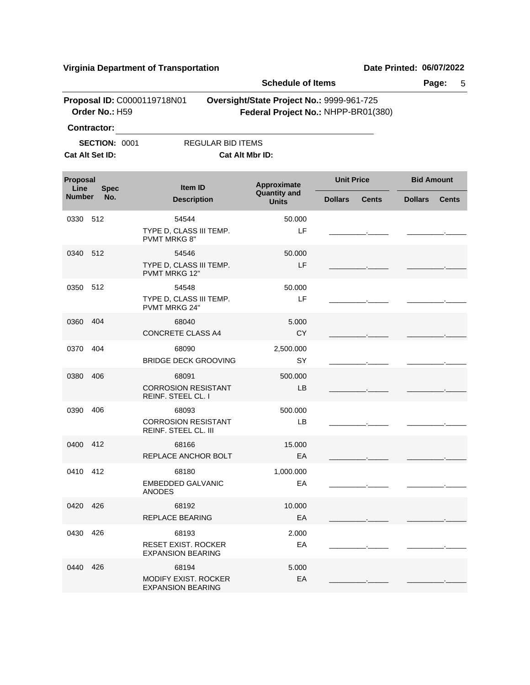0400 68166 412

\_\_\_\_\_\_\_\_\_.\_\_\_\_\_ \_\_\_\_\_\_\_\_\_.\_\_\_\_\_

**Virginia Department of Transportation Date Printed: 06/07/2022 Schedule of Items Page:** 5 **Proposal ID: C0000119718N01 Qversight/State Project No.: 9999-961-725 Order No.:** H59 **Federal Project No.:** NHPP-BR01(380) **Contractor: SECTION: 0001 REGULAR BID ITEMS Cat Alt Set ID: Cat Alt Mbr ID: Approximate Unit Price Bid Amount**<br>Quantity and **All Contract Contract Contract Contract Contract Contract Contract Contract Contract Contract Contract Contract Contract Contract Contract Contract Contract Contract Cont Quantity and Description Units Item ID Proposal Line**<br>**Number Number Dollars Cents Dollars Cents Spec No.** 0330 54544 512 TYPE D, CLASS III TEMP. PVMT MRKG 8" LF 50.000 \_\_\_\_\_\_\_\_\_.\_\_\_\_\_ \_\_\_\_\_\_\_\_\_.\_\_\_\_\_ 0340 54546 512 TYPE D, CLASS III TEMP. PVMT MRKG 12" LF 50.000 \_\_\_\_\_\_\_\_\_.\_\_\_\_\_ \_\_\_\_\_\_\_\_\_.\_\_\_\_\_ 0350 54548 512 TYPE D, CLASS III TEMP. PVMT MRKG 24" LF 50.000 \_\_\_\_\_\_\_\_\_.\_\_\_\_\_ \_\_\_\_\_\_\_\_\_.\_\_\_\_\_ 0360 68040 CONCRETE CLASS A4 CY 5.000 \_\_\_\_\_\_\_\_\_.\_\_\_\_\_ \_\_\_\_\_\_\_\_\_.\_\_\_\_\_ 404 0370 68090 BRIDGE DECK GROOVING SY 2,500.000 \_\_\_\_\_\_\_\_\_.\_\_\_\_\_ \_\_\_\_\_\_\_\_\_.\_\_\_\_\_ 404 0380 68091 CORROSION RESISTANT REINF. STEEL CL. I LB 500.000 \_\_\_\_\_\_\_\_\_.\_\_\_\_\_ \_\_\_\_\_\_\_\_\_.\_\_\_\_\_ 406 0390 68093 CORROSION RESISTANT REINF. STEEL CL. III LB 500.000 \_\_\_\_\_\_\_\_\_.\_\_\_\_\_ \_\_\_\_\_\_\_\_\_.\_\_\_\_\_ 406

15.000

0410 68180 412 EMBEDDED GALVANIC ANODES EA 1,000.000 \_\_\_\_\_\_\_\_\_.\_\_\_\_\_ \_\_\_\_\_\_\_\_\_.\_\_\_\_\_ 0420 68192 426 REPLACE BEARING **EXAMPLE EXAMPLE A** 10.000 \_\_\_\_\_\_\_\_\_.\_\_\_\_\_ \_\_\_\_\_\_\_\_\_.\_\_\_\_\_ 0430 68193 426 RESET EXIST. ROCKER EXPANSION BEARING EA 2.000 \_\_\_\_\_\_\_\_\_.\_\_\_\_\_ \_\_\_\_\_\_\_\_\_.\_\_\_\_\_ 0440 68194 426MODIFY EXIST. ROCKER EXPANSION BEARING EA 5.000 \_\_\_\_\_\_\_\_\_.\_\_\_\_\_ \_\_\_\_\_\_\_\_\_.\_\_\_\_\_

REPLACE ANCHOR BOLT EA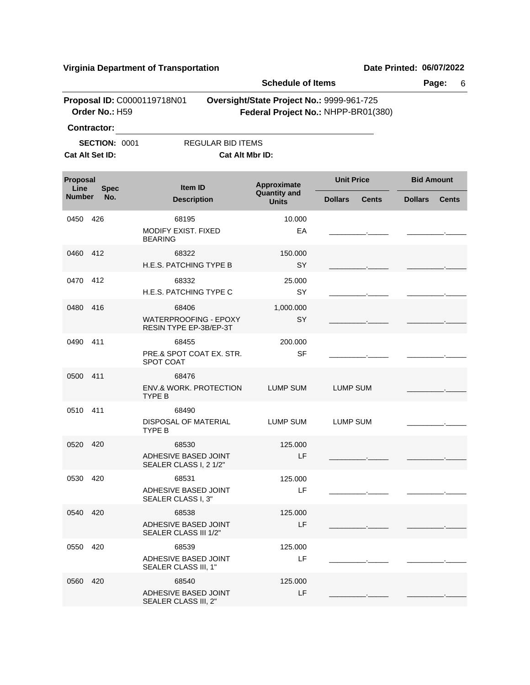|                  |                      |                                                                 | <b>Schedule of Items</b>                  |                                     |                   |              |
|------------------|----------------------|-----------------------------------------------------------------|-------------------------------------------|-------------------------------------|-------------------|--------------|
|                  | Order No.: H59       | Proposal ID: C0000119718N01                                     | Oversight/State Project No.: 9999-961-725 | Federal Project No.: NHPP-BR01(380) |                   |              |
|                  | <b>Contractor:</b>   |                                                                 |                                           |                                     |                   |              |
|                  | <b>SECTION: 0001</b> | REGULAR BID ITEMS                                               |                                           |                                     |                   |              |
|                  | Cat Alt Set ID:      | Cat Alt Mbr ID:                                                 |                                           |                                     |                   |              |
| Proposal<br>Line | <b>Spec</b>          | Item ID                                                         | Approximate<br><b>Quantity and</b>        | <b>Unit Price</b>                   | <b>Bid Amount</b> |              |
| <b>Number</b>    | No.                  | <b>Description</b>                                              | <b>Units</b>                              | <b>Dollars</b><br><b>Cents</b>      | <b>Dollars</b>    | <b>Cents</b> |
| 0450             | 426                  | 68195<br><b>MODIFY EXIST, FIXED</b><br><b>BEARING</b>           | 10.000<br>EA                              |                                     |                   |              |
| 0460             | 412                  | 68322<br>H.E.S. PATCHING TYPE B                                 | 150.000<br>SY                             |                                     |                   |              |
| 0470             | 412                  | 68332<br>H.E.S. PATCHING TYPE C                                 | 25.000<br>SY                              |                                     |                   |              |
| 0480             | 416                  | 68406<br><b>WATERPROOFING - EPOXY</b><br>RESIN TYPE EP-3B/EP-3T | 1,000.000<br>SY                           |                                     |                   |              |
| 0490             | 411                  | 68455<br>PRE.& SPOT COAT EX. STR.<br><b>SPOT COAT</b>           | 200.000<br><b>SF</b>                      |                                     |                   |              |
| 0500             | 411                  | 68476<br><b>ENV.&amp; WORK, PROTECTION</b><br>TYPE B            | LUMP SUM                                  | LUMP SUM                            |                   |              |
| 0510             | 411                  | 68490<br>DISPOSAL OF MATERIAL<br>TYPE B                         | LUMP SUM                                  | <b>LUMP SUM</b>                     |                   |              |
| 0520             | 420                  | 68530<br>ADHESIVE BASED JOINT<br>SEALER CLASS I, 2 1/2"         | 125,000<br>LF                             |                                     |                   |              |
| 0530             | 420                  | 68531<br>ADHESIVE BASED JOINT<br>SEALER CLASS I, 3"             | 125.000<br>LF.                            |                                     |                   |              |
| 0540             | 420                  | 68538<br>ADHESIVE BASED JOINT<br>SEALER CLASS III 1/2"          | 125.000<br>LF                             |                                     |                   |              |
| 0550             | 420                  | 68539<br>ADHESIVE BASED JOINT<br>SEALER CLASS III, 1"           | 125.000<br>LF                             |                                     |                   |              |
| 0560             | 420                  | 68540<br>ADHESIVE BASED JOINT<br>SEALER CLASS III, 2"           | 125.000<br>LF                             |                                     |                   |              |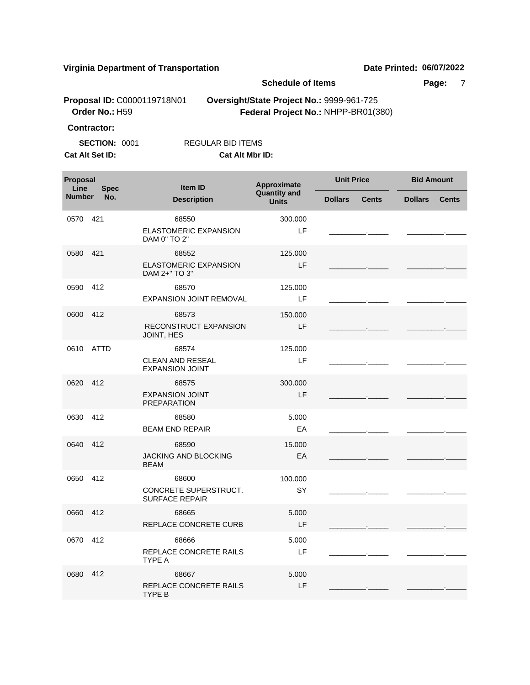|                  |                                                               |                                                                | <b>Schedule of Items</b>                  |                                     |                   |              |
|------------------|---------------------------------------------------------------|----------------------------------------------------------------|-------------------------------------------|-------------------------------------|-------------------|--------------|
|                  | Order No.: H59                                                | Proposal ID: C0000119718N01                                    | Oversight/State Project No.: 9999-961-725 | Federal Project No.: NHPP-BR01(380) |                   |              |
|                  | <b>Contractor:</b><br><b>SECTION: 0001</b><br>Cat Alt Set ID: | <b>REGULAR BID ITEMS</b><br>Cat Alt Mbr ID:                    |                                           |                                     |                   |              |
| Proposal<br>Line | <b>Spec</b>                                                   | <b>Item ID</b>                                                 | Approximate                               | <b>Unit Price</b>                   | <b>Bid Amount</b> |              |
| <b>Number</b>    | No.                                                           | <b>Description</b>                                             | <b>Quantity and</b><br><b>Units</b>       | <b>Dollars</b><br>Cents             | <b>Dollars</b>    | <b>Cents</b> |
| 0570             | 421                                                           | 68550<br><b>ELASTOMERIC EXPANSION</b><br>DAM 0" TO 2"          | 300.000<br>LF                             |                                     |                   |              |
| 0580             | 421                                                           | 68552<br><b>ELASTOMERIC EXPANSION</b><br>DAM 2+" TO 3"         | 125.000<br>LF                             |                                     |                   |              |
| 0590             | 412                                                           | 68570<br>EXPANSION JOINT REMOVAL                               | 125.000<br>LF                             |                                     |                   |              |
| 0600             | 412                                                           | 68573<br>RECONSTRUCT EXPANSION<br>JOINT, HES                   | 150,000<br>LF                             |                                     |                   |              |
| 0610             | <b>ATTD</b>                                                   | 68574<br>CLEAN AND RESEAL<br><b>EXPANSION JOINT</b>            | 125.000<br>LF                             |                                     |                   |              |
| 0620             | 412                                                           | 68575<br><b>EXPANSION JOINT</b><br><b>PREPARATION</b>          | 300.000<br>LF                             |                                     |                   |              |
| 0630             | 412                                                           | 68580<br><b>BEAM END REPAIR</b>                                | 5.000<br>EA                               |                                     |                   |              |
| 0640             | 412                                                           | 68590<br>JACKING AND BLOCKING<br>BEAM                          | 15.000<br>EA                              |                                     |                   |              |
| 0650             | 412                                                           | 68600<br><b>CONCRETE SUPERSTRUCT.</b><br><b>SURFACE REPAIR</b> | 100.000<br>SY                             |                                     |                   |              |
| 0660 412         |                                                               | 68665<br>REPLACE CONCRETE CURB                                 | 5.000<br>LF.                              |                                     |                   |              |
| 0670             | 412                                                           | 68666<br>REPLACE CONCRETE RAILS<br>TYPE A                      | 5.000<br>LF                               |                                     |                   |              |
| 0680             | 412                                                           | 68667<br>REPLACE CONCRETE RAILS<br>TYPE B                      | 5.000<br>LF.                              |                                     |                   |              |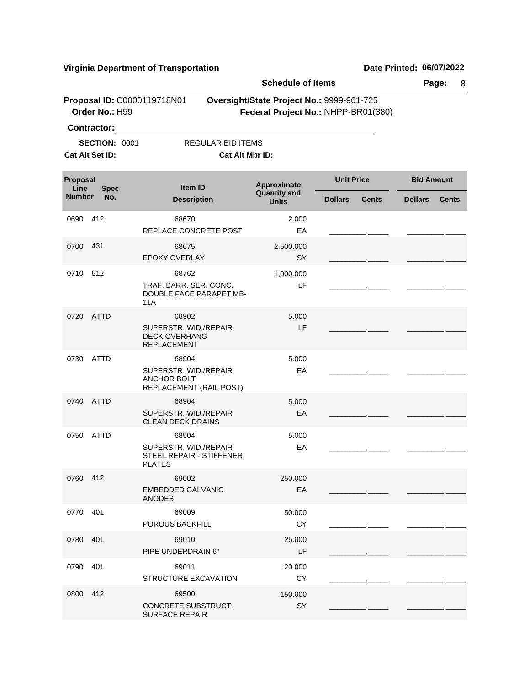|                       |                                         |                                                                                 | <b>Schedule of Items</b>                  |                                     |                   | Page:<br>8   |
|-----------------------|-----------------------------------------|---------------------------------------------------------------------------------|-------------------------------------------|-------------------------------------|-------------------|--------------|
|                       | Order No.: H59<br><b>Contractor:</b>    | Proposal ID: C0000119718N01                                                     | Oversight/State Project No.: 9999-961-725 | Federal Project No.: NHPP-BR01(380) |                   |              |
|                       | <b>SECTION: 0001</b><br>Cat Alt Set ID: | REGULAR BID ITEMS<br>Cat Alt Mbr ID:                                            |                                           |                                     |                   |              |
| Proposal              |                                         | Item ID                                                                         | Approximate                               | <b>Unit Price</b>                   | <b>Bid Amount</b> |              |
| Line<br><b>Number</b> | <b>Spec</b><br>No.                      | <b>Description</b>                                                              | <b>Quantity and</b><br><b>Units</b>       | <b>Dollars</b><br><b>Cents</b>      | <b>Dollars</b>    | <b>Cents</b> |
| 0690                  | 412                                     | 68670<br>REPLACE CONCRETE POST                                                  | 2.000<br>EA                               |                                     |                   |              |
| 0700                  | 431                                     | 68675<br><b>EPOXY OVERLAY</b>                                                   | 2,500.000<br>SY                           |                                     |                   |              |
| 0710                  | 512                                     | 68762<br>TRAF. BARR. SER. CONC.<br><b>DOUBLE FACE PARAPET MB-</b><br>11A        | 1,000.000<br>LF                           |                                     |                   |              |
| 0720                  | <b>ATTD</b>                             | 68902<br>SUPERSTR. WID./REPAIR<br><b>DECK OVERHANG</b><br>REPLACEMENT           | 5.000<br>LF                               |                                     |                   |              |
| 0730                  | <b>ATTD</b>                             | 68904<br>SUPERSTR. WID./REPAIR<br><b>ANCHOR BOLT</b><br>REPLACEMENT (RAIL POST) | 5.000<br>EA                               |                                     |                   |              |
| 0740                  | <b>ATTD</b>                             | 68904<br>SUPERSTR. WID./REPAIR<br><b>CLEAN DECK DRAINS</b>                      | 5.000<br>EA                               |                                     |                   |              |
| 0750                  | <b>ATTD</b>                             | 68904<br>SUPERSTR. WID./REPAIR<br>STEEL REPAIR - STIFFENER<br><b>PLATES</b>     | 5.000<br>EA                               |                                     |                   |              |
| 0760 412              |                                         | 69002<br><b>EMBEDDED GALVANIC</b><br><b>ANODES</b>                              | 250.000<br>EA                             |                                     |                   |              |
| 0770                  | 401                                     | 69009<br>POROUS BACKFILL                                                        | 50.000<br><b>CY</b>                       |                                     |                   |              |
| 0780                  | 401                                     | 69010<br>PIPE UNDERDRAIN 6"                                                     | 25.000<br>LF                              |                                     |                   |              |
| 0790                  | 401                                     | 69011<br>STRUCTURE EXCAVATION                                                   | 20.000<br>CY                              |                                     |                   |              |
| 0800 412              |                                         | 69500<br>CONCRETE SUBSTRUCT.<br><b>SURFACE REPAIR</b>                           | 150.000<br>SY                             |                                     |                   |              |